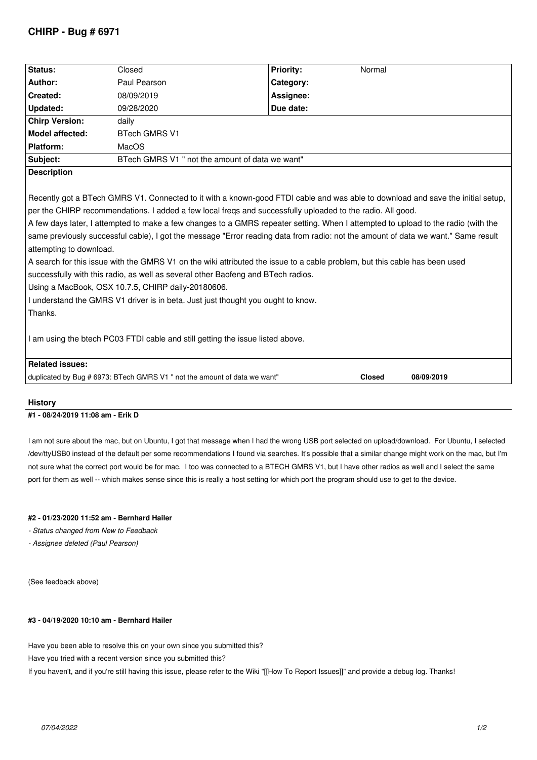# **CHIRP - Bug # 6971**

| Status:                                                                                                                                                                                                                                                                                                                                                                                                                                                                                                                                                                                                                                                                                                                                                                                                                                                                                                                   | Closed                                                                    | <b>Priority:</b> | Normal        |            |
|---------------------------------------------------------------------------------------------------------------------------------------------------------------------------------------------------------------------------------------------------------------------------------------------------------------------------------------------------------------------------------------------------------------------------------------------------------------------------------------------------------------------------------------------------------------------------------------------------------------------------------------------------------------------------------------------------------------------------------------------------------------------------------------------------------------------------------------------------------------------------------------------------------------------------|---------------------------------------------------------------------------|------------------|---------------|------------|
| Author:                                                                                                                                                                                                                                                                                                                                                                                                                                                                                                                                                                                                                                                                                                                                                                                                                                                                                                                   | Paul Pearson                                                              | Category:        |               |            |
| Created:                                                                                                                                                                                                                                                                                                                                                                                                                                                                                                                                                                                                                                                                                                                                                                                                                                                                                                                  | 08/09/2019                                                                | Assignee:        |               |            |
| <b>Updated:</b>                                                                                                                                                                                                                                                                                                                                                                                                                                                                                                                                                                                                                                                                                                                                                                                                                                                                                                           | 09/28/2020                                                                | Due date:        |               |            |
| <b>Chirp Version:</b>                                                                                                                                                                                                                                                                                                                                                                                                                                                                                                                                                                                                                                                                                                                                                                                                                                                                                                     | daily                                                                     |                  |               |            |
| <b>Model affected:</b>                                                                                                                                                                                                                                                                                                                                                                                                                                                                                                                                                                                                                                                                                                                                                                                                                                                                                                    | <b>BTech GMRS V1</b>                                                      |                  |               |            |
| Platform:                                                                                                                                                                                                                                                                                                                                                                                                                                                                                                                                                                                                                                                                                                                                                                                                                                                                                                                 | MacOS                                                                     |                  |               |            |
| Subject:                                                                                                                                                                                                                                                                                                                                                                                                                                                                                                                                                                                                                                                                                                                                                                                                                                                                                                                  | BTech GMRS V1 " not the amount of data we want"                           |                  |               |            |
| <b>Description</b>                                                                                                                                                                                                                                                                                                                                                                                                                                                                                                                                                                                                                                                                                                                                                                                                                                                                                                        |                                                                           |                  |               |            |
| Recently got a BTech GMRS V1. Connected to it with a known-good FTDI cable and was able to download and save the initial setup,<br>per the CHIRP recommendations. I added a few local freqs and successfully uploaded to the radio. All good.<br>A few days later, I attempted to make a few changes to a GMRS repeater setting. When I attempted to upload to the radio (with the<br>same previously successful cable), I got the message "Error reading data from radio: not the amount of data we want." Same result<br>attempting to download.<br>A search for this issue with the GMRS V1 on the wiki attributed the issue to a cable problem, but this cable has been used<br>successfully with this radio, as well as several other Baofeng and BTech radios.<br>Using a MacBook, OSX 10.7.5, CHIRP daily-20180606.<br>I understand the GMRS V1 driver is in beta. Just just thought you ought to know.<br>Thanks. |                                                                           |                  |               |            |
| I am using the btech PC03 FTDI cable and still getting the issue listed above.                                                                                                                                                                                                                                                                                                                                                                                                                                                                                                                                                                                                                                                                                                                                                                                                                                            |                                                                           |                  |               |            |
| <b>Related issues:</b>                                                                                                                                                                                                                                                                                                                                                                                                                                                                                                                                                                                                                                                                                                                                                                                                                                                                                                    |                                                                           |                  |               |            |
|                                                                                                                                                                                                                                                                                                                                                                                                                                                                                                                                                                                                                                                                                                                                                                                                                                                                                                                           | duplicated by Bug # 6973: BTech GMRS V1 " not the amount of data we want" |                  | <b>Closed</b> | 08/09/2019 |
|                                                                                                                                                                                                                                                                                                                                                                                                                                                                                                                                                                                                                                                                                                                                                                                                                                                                                                                           |                                                                           |                  |               |            |

#### **History**

#### **#1 - 08/24/2019 11:08 am - Erik D**

*I am not sure about the mac, but on Ubuntu, I got that message when I had the wrong USB port selected on upload/download. For Ubuntu, I selected /dev/ttyUSB0 instead of the default per some recommendations I found via searches. It's possible that a similar change might work on the mac, but I'm not sure what the correct port would be for mac. I too was connected to a BTECH GMRS V1, but I have other radios as well and I select the same port for them as well -- which makes sense since this is really a host setting for which port the program should use to get to the device.*

### **#2 - 01/23/2020 11:52 am - Bernhard Hailer**

*- Status changed from New to Feedback*

*- Assignee deleted (Paul Pearson)*

*(See feedback above)*

## **#3 - 04/19/2020 10:10 am - Bernhard Hailer**

*Have you been able to resolve this on your own since you submitted this?*

*Have you tried with a recent version since you submitted this?*

*If you haven't, and if you're still having this issue, please refer to the Wiki "[[How To Report Issues]]" and provide a debug log. Thanks!*